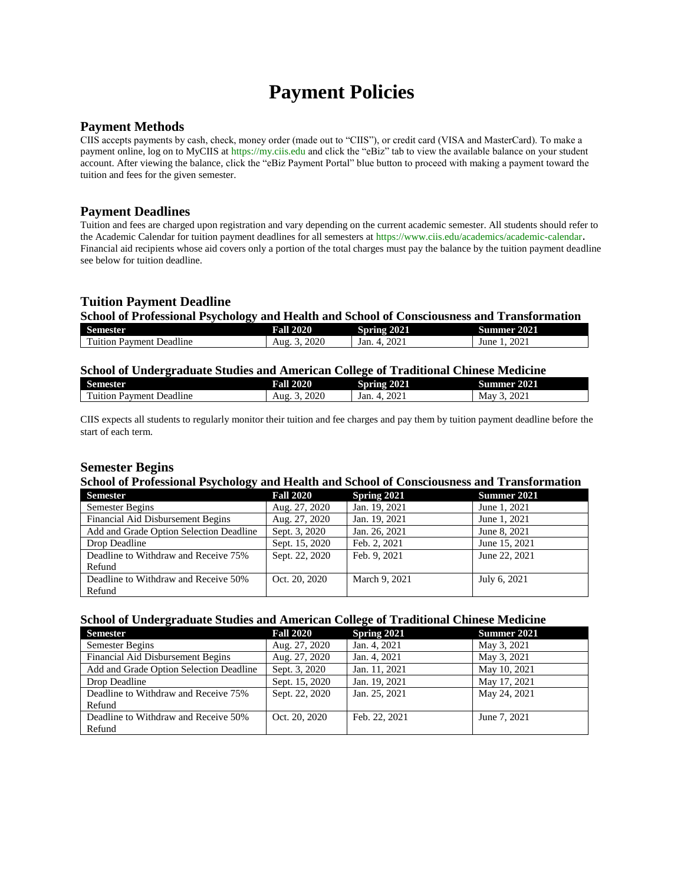# **Payment Policies**

## **Payment Methods**

CIIS accepts payments by cash, check, money order (made out to "CIIS"), or credit card (VISA and MasterCard). To make a payment online, log on to MyCIIS at [https://my.ciis.edu](https://my.ciis.edu/) and click the "eBiz" tab to view the available balance on your student account. After viewing the balance, click the "eBiz Payment Portal" blue button to proceed with making a payment toward the tuition and fees for the given semester.

## **Payment Deadlines**

Tuition and fees are charged upon registration and vary depending on the current academic semester. All students should refer to the Academic Calendar for tuition payment deadlines for all semesters a[t https://www.ciis.edu/academics/academic-calendar](https://www.ciis.edu/academics/academic-calendar). Financial aid recipients whose aid covers only a portion of the total charges must pay the balance by the tuition payment deadline see below for tuition deadline.

# **Tuition Payment Deadline**

#### **School of Professional Psychology and Health and School of Consciousness and Transformation**

| Semester                                              | 2020        | 2021         | 2021         |
|-------------------------------------------------------|-------------|--------------|--------------|
|                                                       | Fall 2      | Smime        | Summer       |
| 11.<br>$\mathbf{r}$<br>Deadline<br>uition.<br>Payment | 2020<br>Aug | 2021<br>Jan. | 2021<br>June |

## **School of Undergraduate Studies and American College of Traditional Chinese Medicine**

| Semester                                         | 2020<br>Fall | 2021<br>.<br>,,,,,<br>         | 2021<br>Summer |
|--------------------------------------------------|--------------|--------------------------------|----------------|
| 11.<br>$\sim$<br>Jeadline<br>l'uition<br>Payment | 2020<br>Aug  | 2021<br>Jan.<br>$\overline{ }$ | 2021<br>May    |

CIIS expects all students to regularly monitor their tuition and fee charges and pay them by tuition payment deadline before the start of each term.

## **Semester Begins**

#### **School of Professional Psychology and Health and School of Consciousness and Transformation**

| <b>Semester</b>                         | <b>Fall 2020</b> | Spring 2021   | Summer 2021   |
|-----------------------------------------|------------------|---------------|---------------|
| Semester Begins                         | Aug. 27, 2020    | Jan. 19, 2021 | June 1, 2021  |
| Financial Aid Disbursement Begins       | Aug. 27, 2020    | Jan. 19, 2021 | June 1, 2021  |
| Add and Grade Option Selection Deadline | Sept. 3, 2020    | Jan. 26, 2021 | June 8, 2021  |
| Drop Deadline                           | Sept. 15, 2020   | Feb. 2, 2021  | June 15, 2021 |
| Deadline to Withdraw and Receive 75%    | Sept. 22, 2020   | Feb. 9, 2021  | June 22, 2021 |
| Refund                                  |                  |               |               |
| Deadline to Withdraw and Receive 50%    | Oct. 20, 2020    | March 9, 2021 | July 6, 2021  |
| Refund                                  |                  |               |               |

## **School of Undergraduate Studies and American College of Traditional Chinese Medicine**

| <b>Semester</b>                         | <b>Fall 2020</b> | Spring 2021   | Summer 2021  |
|-----------------------------------------|------------------|---------------|--------------|
| Semester Begins                         | Aug. 27, 2020    | Jan. 4, 2021  | May 3, 2021  |
| Financial Aid Disbursement Begins       | Aug. 27, 2020    | Jan. 4, 2021  | May 3, 2021  |
| Add and Grade Option Selection Deadline | Sept. 3, 2020    | Jan. 11, 2021 | May 10, 2021 |
| Drop Deadline                           | Sept. 15, 2020   | Jan. 19, 2021 | May 17, 2021 |
| Deadline to Withdraw and Receive 75%    | Sept. 22, 2020   | Jan. 25, 2021 | May 24, 2021 |
| Refund                                  |                  |               |              |
| Deadline to Withdraw and Receive 50%    | Oct. 20, 2020    | Feb. 22, 2021 | June 7, 2021 |
| Refund                                  |                  |               |              |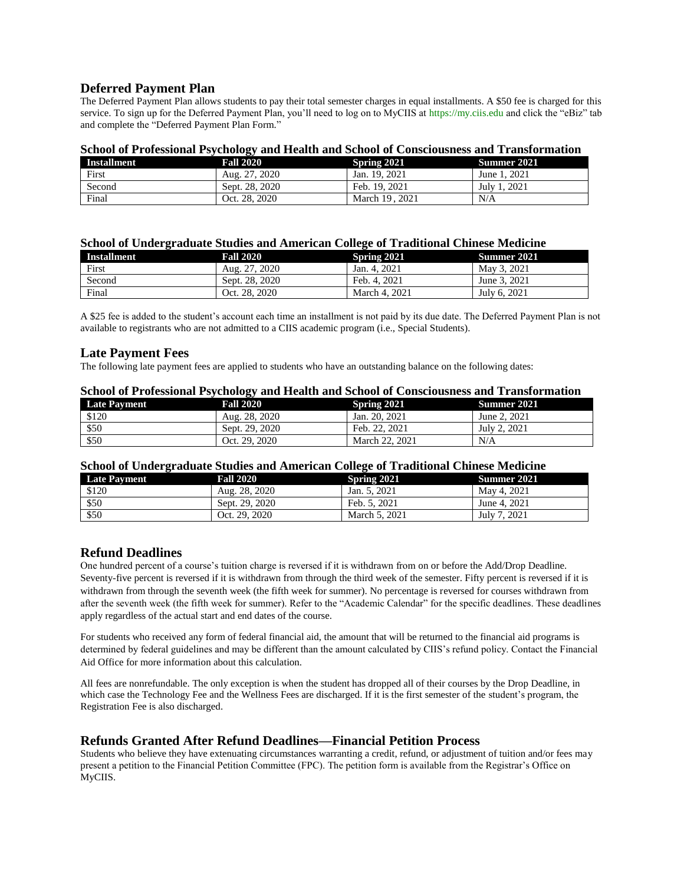## **Deferred Payment Plan**

The Deferred Payment Plan allows students to pay their total semester charges in equal installments. A \$50 fee is charged for this service. To sign up for the Deferred Payment Plan, you'll need to log on to MyCIIS at [https://my.ciis.edu](https://my.ciis.edu/) and click the "eBiz" tab and complete the "Deferred Payment Plan Form."

#### **School of Professional Psychology and Health and School of Consciousness and Transformation**

| Installment | <b>Fall 2020</b> | Spring 2021    | Summer 2021  |
|-------------|------------------|----------------|--------------|
| First       | Aug. 27, 2020    | Jan. 19, 2021  | June 1, 2021 |
| Second      | Sept. 28, 2020   | Feb. 19, 2021  | July 1, 2021 |
| Final       | Oct. 28, 2020    | March 19, 2021 | N/A          |

#### **School of Undergraduate Studies and American College of Traditional Chinese Medicine**

| <b>Installment</b> | <b>Fall 2020</b> | Spring 2021   | Summer 2021  |
|--------------------|------------------|---------------|--------------|
| First              | Aug. 27, 2020    | Jan. 4, 2021  | May 3, 2021  |
| Second             | Sept. 28, 2020   | Feb. 4, 2021  | June 3, 2021 |
| Final              | Oct. 28, 2020    | March 4, 2021 | July 6, 2021 |

A \$25 fee is added to the student's account each time an installment is not paid by its due date. The Deferred Payment Plan is not available to registrants who are not admitted to a CIIS academic program (i.e., Special Students).

#### **Late Payment Fees**

The following late payment fees are applied to students who have an outstanding balance on the following dates:

| Denoti of 1 recognitum respectively and frequent and Denoti or Conservabiless and Transformation |                  |                |              |  |
|--------------------------------------------------------------------------------------------------|------------------|----------------|--------------|--|
| <b>Late Payment</b>                                                                              | <b>Fall 2020</b> | Spring 2021    | Summer 2021  |  |
| \$120                                                                                            | Aug. 28, 2020    | Jan. 20, 2021  | June 2, 2021 |  |
| \$50                                                                                             | Sept. 29, 2020   | Feb. 22, 2021  | July 2, 2021 |  |
| \$50                                                                                             | Oct. 29. 2020    | March 22, 2021 | N/A          |  |

#### **School of Professional Psychology and Health and School of Consciousness and Transformation**

## **School of Undergraduate Studies and American College of Traditional Chinese Medicine**

| <u>Denou of Chael Crannic Dimmo and Innertean Conege of Frammonia Chinese Revalente</u> |                  |               |                    |
|-----------------------------------------------------------------------------------------|------------------|---------------|--------------------|
| <b>Late Payment</b>                                                                     | <b>Fall 2020</b> | Spring 2021   | <b>Summer 2021</b> |
| \$120                                                                                   | Aug. 28, 2020    | Jan. 5, 2021  | May 4, 2021        |
| \$50                                                                                    | Sept. 29, 2020   | Feb. 5, 2021  | June 4, 2021       |
| \$50                                                                                    | Oct. 29, 2020    | March 5, 2021 | July 7, 2021       |

# **Refund Deadlines**

One hundred percent of a course's tuition charge is reversed if it is withdrawn from on or before the Add/Drop Deadline. Seventy-five percent is reversed if it is withdrawn from through the third week of the semester. Fifty percent is reversed if it is withdrawn from through the seventh week (the fifth week for summer). No percentage is reversed for courses withdrawn from after the seventh week (the fifth week for summer). Refer to the "Academic Calendar" for the specific deadlines. These deadlines apply regardless of the actual start and end dates of the course.

For students who received any form of federal financial aid, the amount that will be returned to the financial aid programs is determined by federal guidelines and may be different than the amount calculated by CIIS's refund policy. Contact the Financial Aid Office for more information about this calculation.

All fees are nonrefundable. The only exception is when the student has dropped all of their courses by the Drop Deadline, in which case the Technology Fee and the Wellness Fees are discharged. If it is the first semester of the student's program, the Registration Fee is also discharged.

# **Refunds Granted After Refund Deadlines—Financial Petition Process**

Students who believe they have extenuating circumstances warranting a credit, refund, or adjustment of tuition and/or fees may present a petition to the Financial Petition Committee (FPC). The petition form is available from the Registrar's Office on MyCIIS.